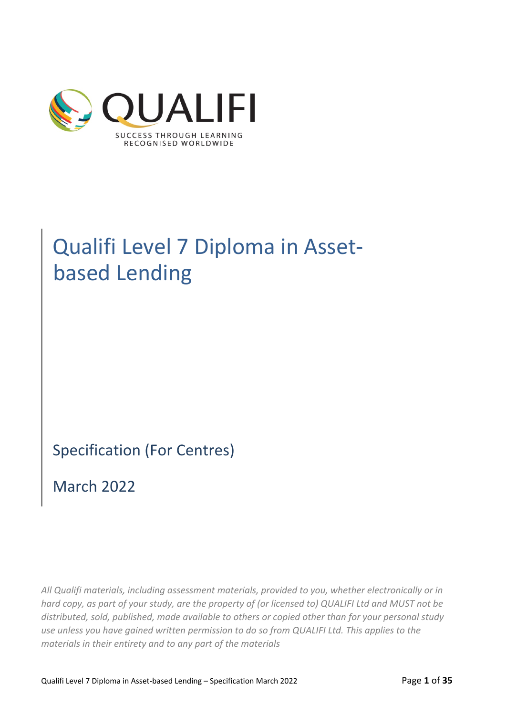

# Qualifi Level 7 Diploma in Assetbased Lending

Specification (For Centres)

March 2022

*All Qualifi materials, including assessment materials, provided to you, whether electronically or in hard copy, as part of your study, are the property of (or licensed to) QUALIFI Ltd and MUST not be distributed, sold, published, made available to others or copied other than for your personal study use unless you have gained written permission to do so from QUALIFI Ltd. This applies to the materials in their entirety and to any part of the materials*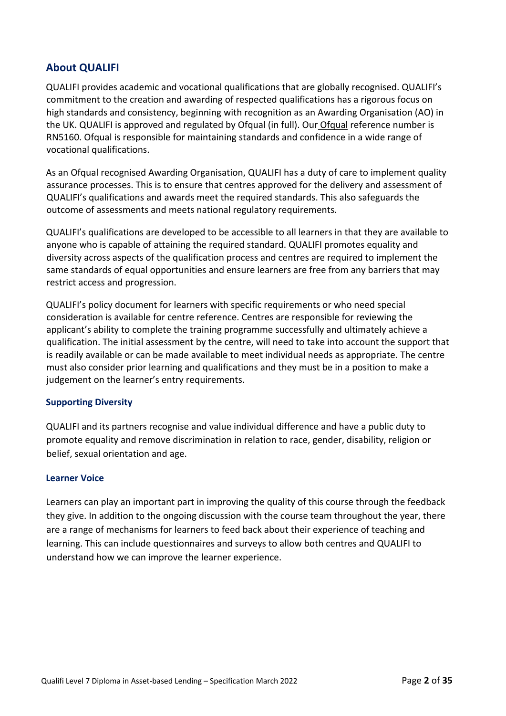# **About QUALIFI**

QUALIFI provides academic and vocational qualifications that are globally recognised. QUALIFI's commitment to the creation and awarding of respected qualifications has a rigorous focus on high standards and consistency, beginning with recognition as an Awarding Organisation (AO) in the UK. QUALIFI is approved and regulated by Ofqual (in full). Our Ofqual reference number is RN5160. Ofqual is responsible for maintaining standards and confidence in a wide range of vocational qualifications.

As an Ofqual recognised Awarding Organisation, QUALIFI has a duty of care to implement quality assurance processes. This is to ensure that centres approved for the delivery and assessment of QUALIFI's qualifications and awards meet the required standards. This also safeguards the outcome of assessments and meets national regulatory requirements.

QUALIFI's qualifications are developed to be accessible to all learners in that they are available to anyone who is capable of attaining the required standard. QUALIFI promotes equality and diversity across aspects of the qualification process and centres are required to implement the same standards of equal opportunities and ensure learners are free from any barriers that may restrict access and progression.

QUALIFI's policy document for learners with specific requirements or who need special consideration is available for centre reference. Centres are responsible for reviewing the applicant's ability to complete the training programme successfully and ultimately achieve a qualification. The initial assessment by the centre, will need to take into account the support that is readily available or can be made available to meet individual needs as appropriate. The centre must also consider prior learning and qualifications and they must be in a position to make a judgement on the learner's entry requirements.

## **Supporting Diversity**

QUALIFI and its partners recognise and value individual difference and have a public duty to promote equality and remove discrimination in relation to race, gender, disability, religion or belief, sexual orientation and age.

## **Learner Voice**

Learners can play an important part in improving the quality of this course through the feedback they give. In addition to the ongoing discussion with the course team throughout the year, there are a range of mechanisms for learners to feed back about their experience of teaching and learning. This can include questionnaires and surveys to allow both centres and QUALIFI to understand how we can improve the learner experience.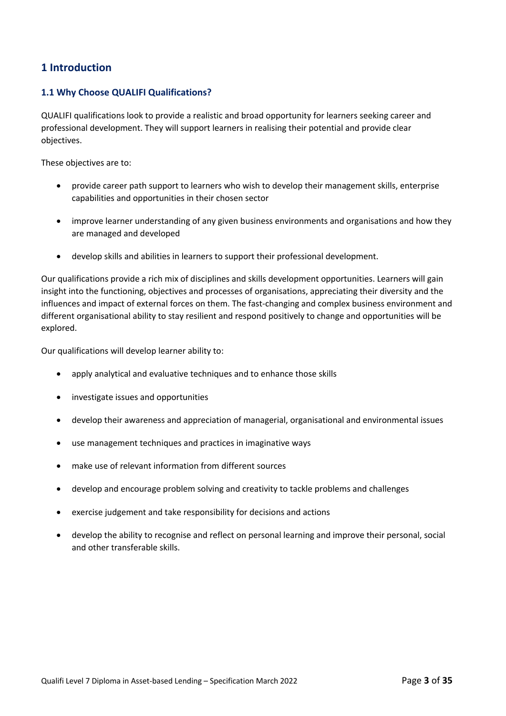# **1 Introduction**

## **1.1 Why Choose QUALIFI Qualifications?**

QUALIFI qualifications look to provide a realistic and broad opportunity for learners seeking career and professional development. They will support learners in realising their potential and provide clear objectives.

These objectives are to:

- provide career path support to learners who wish to develop their management skills, enterprise capabilities and opportunities in their chosen sector
- improve learner understanding of any given business environments and organisations and how they are managed and developed
- develop skills and abilities in learners to support their professional development.

Our qualifications provide a rich mix of disciplines and skills development opportunities. Learners will gain insight into the functioning, objectives and processes of organisations, appreciating their diversity and the influences and impact of external forces on them. The fast-changing and complex business environment and different organisational ability to stay resilient and respond positively to change and opportunities will be explored.

Our qualifications will develop learner ability to:

- apply analytical and evaluative techniques and to enhance those skills
- investigate issues and opportunities
- develop their awareness and appreciation of managerial, organisational and environmental issues
- use management techniques and practices in imaginative ways
- make use of relevant information from different sources
- develop and encourage problem solving and creativity to tackle problems and challenges
- exercise judgement and take responsibility for decisions and actions
- develop the ability to recognise and reflect on personal learning and improve their personal, social and other transferable skills.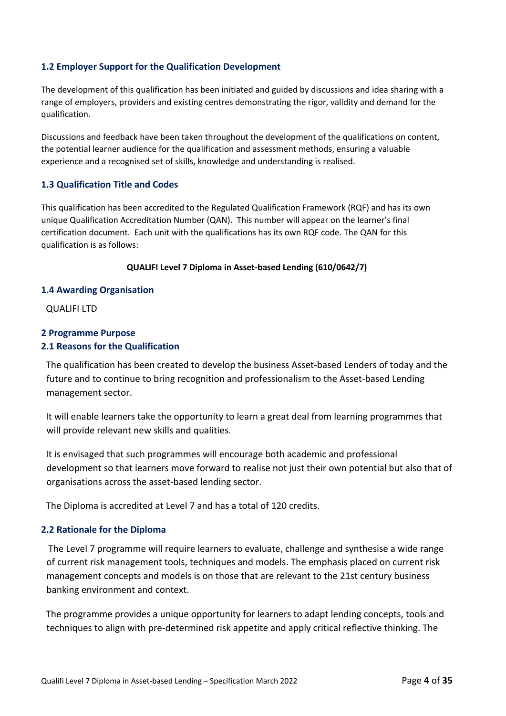## **1.2 Employer Support for the Qualification Development**

The development of this qualification has been initiated and guided by discussions and idea sharing with a range of employers, providers and existing centres demonstrating the rigor, validity and demand for the qualification.

Discussions and feedback have been taken throughout the development of the qualifications on content, the potential learner audience for the qualification and assessment methods, ensuring a valuable experience and a recognised set of skills, knowledge and understanding is realised.

## **1.3 Qualification Title and Codes**

This qualification has been accredited to the Regulated Qualification Framework (RQF) and has its own unique Qualification Accreditation Number (QAN). This number will appear on the learner's final certification document. Each unit with the qualifications has its own RQF code. The QAN for this qualification is as follows:

#### **QUALIFI Level 7 Diploma in Asset-based Lending (610/0642/7)**

#### **1.4 Awarding Organisation**

QUALIFI LTD

## **2 Programme Purpose 2.1 Reasons for the Qualification**

The qualification has been created to develop the business Asset-based Lenders of today and the future and to continue to bring recognition and professionalism to the Asset-based Lending management sector.

It will enable learners take the opportunity to learn a great deal from learning programmes that will provide relevant new skills and qualities.

It is envisaged that such programmes will encourage both academic and professional development so that learners move forward to realise not just their own potential but also that of organisations across the asset-based lending sector.

The Diploma is accredited at Level 7 and has a total of 120 credits.

## **2.2 Rationale for the Diploma**

The Level 7 programme will require learners to evaluate, challenge and synthesise a wide range of current risk management tools, techniques and models. The emphasis placed on current risk management concepts and models is on those that are relevant to the 21st century business banking environment and context.

The programme provides a unique opportunity for learners to adapt lending concepts, tools and techniques to align with pre-determined risk appetite and apply critical reflective thinking. The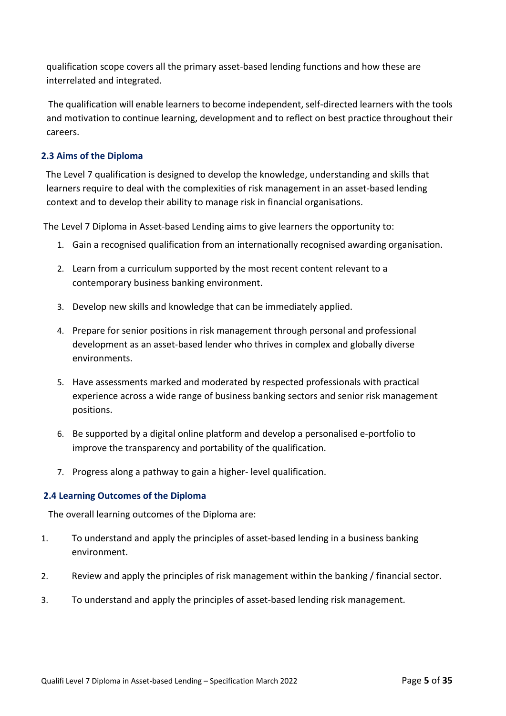qualification scope covers all the primary asset-based lending functions and how these are interrelated and integrated.

The qualification will enable learners to become independent, self-directed learners with the tools and motivation to continue learning, development and to reflect on best practice throughout their careers.

# **2.3 Aims of the Diploma**

The Level 7 qualification is designed to develop the knowledge, understanding and skills that learners require to deal with the complexities of risk management in an asset-based lending context and to develop their ability to manage risk in financial organisations.

The Level 7 Diploma in Asset-based Lending aims to give learners the opportunity to:

- 1. Gain a recognised qualification from an internationally recognised awarding organisation.
- 2. Learn from a curriculum supported by the most recent content relevant to a contemporary business banking environment.
- 3. Develop new skills and knowledge that can be immediately applied.
- 4. Prepare for senior positions in risk management through personal and professional development as an asset-based lender who thrives in complex and globally diverse environments.
- 5. Have assessments marked and moderated by respected professionals with practical experience across a wide range of business banking sectors and senior risk management positions.
- 6. Be supported by a digital online platform and develop a personalised e-portfolio to improve the transparency and portability of the qualification.
- 7. Progress along a pathway to gain a higher- level qualification.

## **2.4 Learning Outcomes of the Diploma**

The overall learning outcomes of the Diploma are:

- 1. To understand and apply the principles of asset-based lending in a business banking environment.
- 2. Review and apply the principles of risk management within the banking / financial sector.
- 3. To understand and apply the principles of asset-based lending risk management.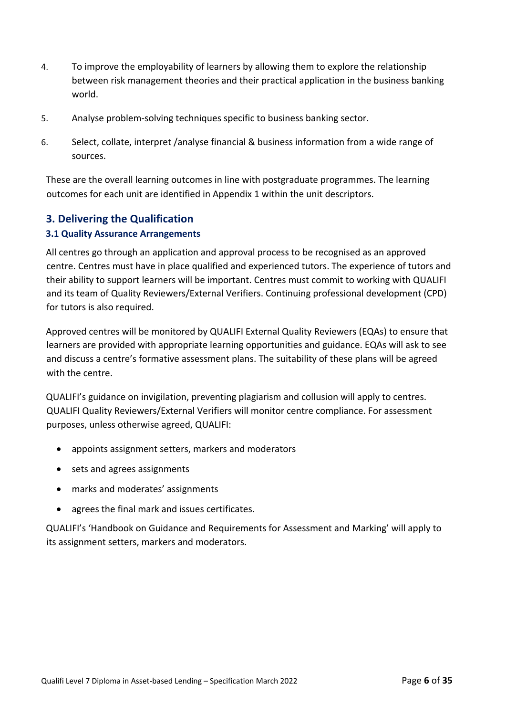- 4. To improve the employability of learners by allowing them to explore the relationship between risk management theories and their practical application in the business banking world.
- 5. Analyse problem-solving techniques specific to business banking sector.
- 6. Select, collate, interpret /analyse financial & business information from a wide range of sources.

These are the overall learning outcomes in line with postgraduate programmes. The learning outcomes for each unit are identified in Appendix 1 within the unit descriptors.

# **3. Delivering the Qualification**

# **3.1 Quality Assurance Arrangements**

All centres go through an application and approval process to be recognised as an approved centre. Centres must have in place qualified and experienced tutors. The experience of tutors and their ability to support learners will be important. Centres must commit to working with QUALIFI and its team of Quality Reviewers/External Verifiers. Continuing professional development (CPD) for tutors is also required.

Approved centres will be monitored by QUALIFI External Quality Reviewers (EQAs) to ensure that learners are provided with appropriate learning opportunities and guidance. EQAs will ask to see and discuss a centre's formative assessment plans. The suitability of these plans will be agreed with the centre.

QUALIFI's guidance on invigilation, preventing plagiarism and collusion will apply to centres. QUALIFI Quality Reviewers/External Verifiers will monitor centre compliance. For assessment purposes, unless otherwise agreed, QUALIFI:

- appoints assignment setters, markers and moderators
- sets and agrees assignments
- marks and moderates' assignments
- agrees the final mark and issues certificates.

QUALIFI's 'Handbook on Guidance and Requirements for Assessment and Marking' will apply to its assignment setters, markers and moderators.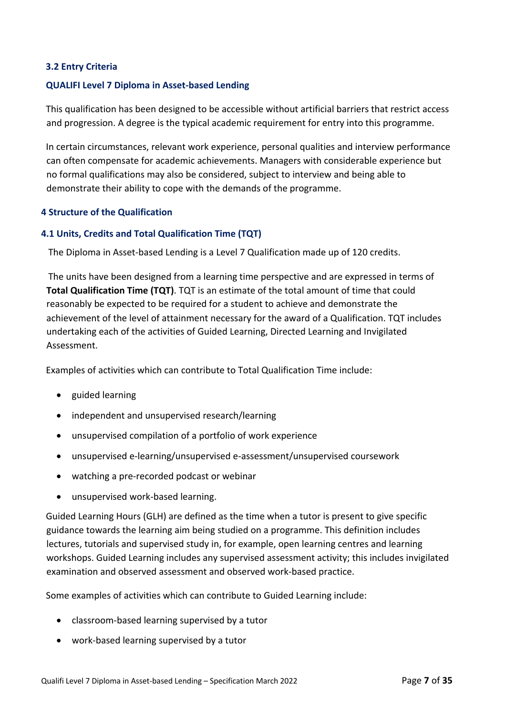# **3.2 Entry Criteria**

## **QUALIFI Level 7 Diploma in Asset-based Lending**

This qualification has been designed to be accessible without artificial barriers that restrict access and progression. A degree is the typical academic requirement for entry into this programme.

In certain circumstances, relevant work experience, personal qualities and interview performance can often compensate for academic achievements. Managers with considerable experience but no formal qualifications may also be considered, subject to interview and being able to demonstrate their ability to cope with the demands of the programme.

## **4 Structure of the Qualification**

## **4.1 Units, Credits and Total Qualification Time (TQT)**

The Diploma in Asset-based Lending is a Level 7 Qualification made up of 120 credits.

The units have been designed from a learning time perspective and are expressed in terms of **Total Qualification Time (TQT)**. TQT is an estimate of the total amount of time that could reasonably be expected to be required for a student to achieve and demonstrate the achievement of the level of attainment necessary for the award of a Qualification. TQT includes undertaking each of the activities of Guided Learning, Directed Learning and Invigilated Assessment.

Examples of activities which can contribute to Total Qualification Time include:

- guided learning
- independent and unsupervised research/learning
- unsupervised compilation of a portfolio of work experience
- unsupervised e-learning/unsupervised e-assessment/unsupervised coursework
- watching a pre-recorded podcast or webinar
- unsupervised work-based learning.

Guided Learning Hours (GLH) are defined as the time when a tutor is present to give specific guidance towards the learning aim being studied on a programme. This definition includes lectures, tutorials and supervised study in, for example, open learning centres and learning workshops. Guided Learning includes any supervised assessment activity; this includes invigilated examination and observed assessment and observed work-based practice.

Some examples of activities which can contribute to Guided Learning include:

- classroom-based learning supervised by a tutor
- work-based learning supervised by a tutor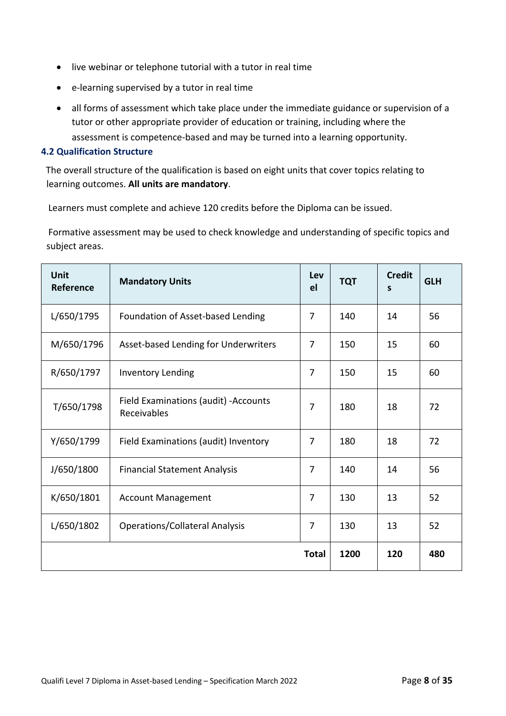- live webinar or telephone tutorial with a tutor in real time
- e-learning supervised by a tutor in real time
- all forms of assessment which take place under the immediate guidance or supervision of a tutor or other appropriate provider of education or training, including where the assessment is competence-based and may be turned into a learning opportunity.

#### **4.2 Qualification Structure**

The overall structure of the qualification is based on eight units that cover topics relating to learning outcomes. **All units are mandatory**.

Learners must complete and achieve 120 credits before the Diploma can be issued.

Formative assessment may be used to check knowledge and understanding of specific topics and subject areas.

| <b>Unit</b><br>Reference                | <b>Mandatory Units</b>                               | Lev<br>el      | <b>TQT</b> | <b>Credit</b><br>S | <b>GLH</b> |
|-----------------------------------------|------------------------------------------------------|----------------|------------|--------------------|------------|
| L/650/1795                              | Foundation of Asset-based Lending                    | $\overline{7}$ | 140        | 14                 | 56         |
| M/650/1796                              | Asset-based Lending for Underwriters                 | 7              | 150        | 15                 | 60         |
| R/650/1797                              | <b>Inventory Lending</b>                             | 7              | 150        | 15                 | 60         |
| T/650/1798                              | Field Examinations (audit) - Accounts<br>Receivables | 7              | 180        | 18                 | 72         |
| Y/650/1799                              | Field Examinations (audit) Inventory                 | 7              | 180        | 18                 | 72         |
| J/650/1800                              | <b>Financial Statement Analysis</b>                  | $\overline{7}$ | 140        | 14                 | 56         |
| K/650/1801<br><b>Account Management</b> |                                                      | 7              | 130        | 13                 | 52         |
| L/650/1802                              | <b>Operations/Collateral Analysis</b>                | 7              | 130        | 13                 | 52         |
|                                         |                                                      | <b>Total</b>   | 1200       | 120                | 480        |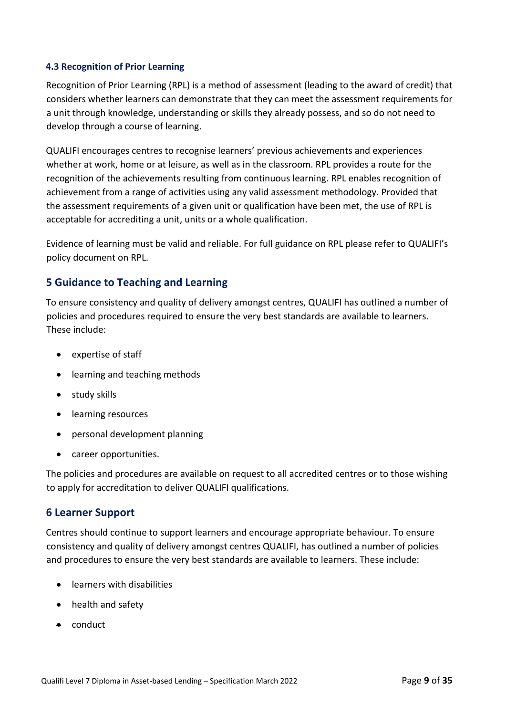# **4.3 Recognition of Prior Learning**

Recognition of Prior Learning (RPL) is a method of assessment (leading to the award of credit) that considers whether learners can demonstrate that they can meet the assessment requirements for a unit through knowledge, understanding or skills they already possess, and so do not need to develop through a course of learning.

QUALIFI encourages centres to recognise learners' previous achievements and experiences whether at work, home or at leisure, as well as in the classroom. RPL provides a route for the recognition of the achievements resulting from continuous learning. RPL enables recognition of achievement from a range of activities using any valid assessment methodology. Provided that the assessment requirements of a given unit or qualification have been met, the use of RPL is acceptable for accrediting a unit, units or a whole qualification.

Evidence of learning must be valid and reliable. For full guidance on RPL please refer to QUALIFI's policy document on RPL.

# **5 Guidance to Teaching and Learning**

To ensure consistency and quality of delivery amongst centres, QUALIFI has outlined a number of policies and procedures required to ensure the very best standards are available to learners. These include:

- expertise of staff
- learning and teaching methods
- study skills
- learning resources
- personal development planning
- career opportunities.

The policies and procedures are available on request to all accredited centres or to those wishing to apply for accreditation to deliver QUALIFI qualifications.

# **6 Learner Support**

Centres should continue to support learners and encourage appropriate behaviour. To ensure consistency and quality of delivery amongst centres QUALIFI, has outlined a number of policies and procedures to ensure the very best standards are available to learners. These include:

- learners with disabilities
- health and safety
- conduct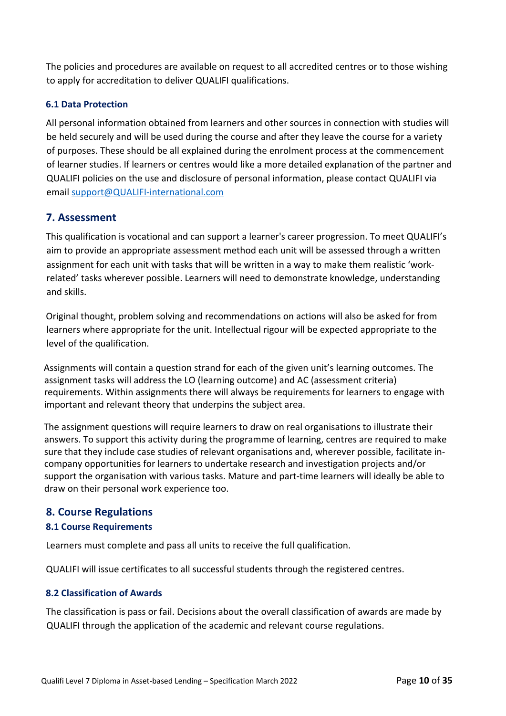The policies and procedures are available on request to all accredited centres or to those wishing to apply for accreditation to deliver QUALIFI qualifications.

# **6.1 Data Protection**

All personal information obtained from learners and other sources in connection with studies will be held securely and will be used during the course and after they leave the course for a variety of purposes. These should be all explained during the enrolment process at the commencement of learner studies. If learners or centres would like a more detailed explanation of the partner and QUALIFI policies on the use and disclosure of personal information, please contact QUALIFI via email support@QUALIFI-international.com

# **7. Assessment**

This qualification is vocational and can support a learner's career progression. To meet QUALIFI's aim to provide an appropriate assessment method each unit will be assessed through a written assignment for each unit with tasks that will be written in a way to make them realistic 'workrelated' tasks wherever possible. Learners will need to demonstrate knowledge, understanding and skills.

Original thought, problem solving and recommendations on actions will also be asked for from learners where appropriate for the unit. Intellectual rigour will be expected appropriate to the level of the qualification.

Assignments will contain a question strand for each of the given unit's learning outcomes. The assignment tasks will address the LO (learning outcome) and AC (assessment criteria) requirements. Within assignments there will always be requirements for learners to engage with important and relevant theory that underpins the subject area.

The assignment questions will require learners to draw on real organisations to illustrate their answers. To support this activity during the programme of learning, centres are required to make sure that they include case studies of relevant organisations and, wherever possible, facilitate incompany opportunities for learners to undertake research and investigation projects and/or support the organisation with various tasks. Mature and part-time learners will ideally be able to draw on their personal work experience too.

# **8. Course Regulations**

# **8.1 Course Requirements**

Learners must complete and pass all units to receive the full qualification.

QUALIFI will issue certificates to all successful students through the registered centres.

# **8.2 Classification of Awards**

The classification is pass or fail. Decisions about the overall classification of awards are made by QUALIFI through the application of the academic and relevant course regulations.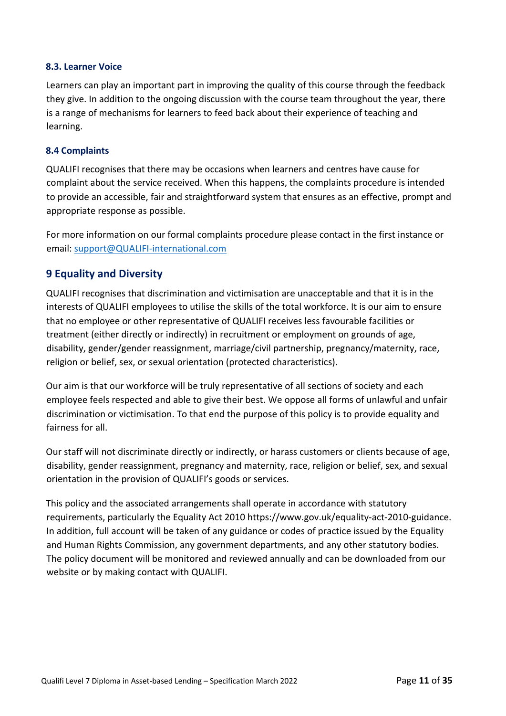## **8.3. Learner Voice**

Learners can play an important part in improving the quality of this course through the feedback they give. In addition to the ongoing discussion with the course team throughout the year, there is a range of mechanisms for learners to feed back about their experience of teaching and learning.

#### **8.4 Complaints**

QUALIFI recognises that there may be occasions when learners and centres have cause for complaint about the service received. When this happens, the complaints procedure is intended to provide an accessible, fair and straightforward system that ensures as an effective, prompt and appropriate response as possible.

For more information on our formal complaints procedure please contact in the first instance or email: support@QUALIFI-international.com

# **9 Equality and Diversity**

QUALIFI recognises that discrimination and victimisation are unacceptable and that it is in the interests of QUALIFI employees to utilise the skills of the total workforce. It is our aim to ensure that no employee or other representative of QUALIFI receives less favourable facilities or treatment (either directly or indirectly) in recruitment or employment on grounds of age, disability, gender/gender reassignment, marriage/civil partnership, pregnancy/maternity, race, religion or belief, sex, or sexual orientation (protected characteristics).

Our aim is that our workforce will be truly representative of all sections of society and each employee feels respected and able to give their best. We oppose all forms of unlawful and unfair discrimination or victimisation. To that end the purpose of this policy is to provide equality and fairness for all.

Our staff will not discriminate directly or indirectly, or harass customers or clients because of age, disability, gender reassignment, pregnancy and maternity, race, religion or belief, sex, and sexual orientation in the provision of QUALIFI's goods or services.

This policy and the associated arrangements shall operate in accordance with statutory requirements, particularly the Equality Act 2010 https://www.gov.uk/equality-act-2010-guidance. In addition, full account will be taken of any guidance or codes of practice issued by the Equality and Human Rights Commission, any government departments, and any other statutory bodies. The policy document will be monitored and reviewed annually and can be downloaded from our website or by making contact with QUALIFI.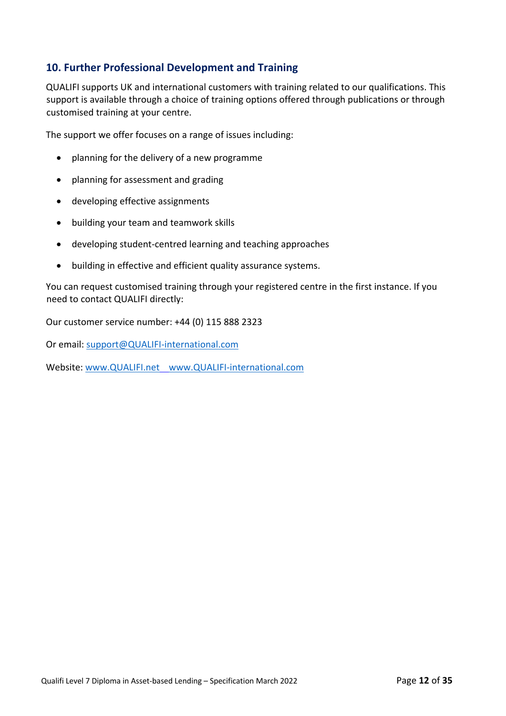# **10. Further Professional Development and Training**

QUALIFI supports UK and international customers with training related to our qualifications. This support is available through a choice of training options offered through publications or through customised training at your centre.

The support we offer focuses on a range of issues including:

- planning for the delivery of a new programme
- planning for assessment and grading
- developing effective assignments
- building your team and teamwork skills
- developing student-centred learning and teaching approaches
- building in effective and efficient quality assurance systems.

You can request customised training through your registered centre in the first instance. If you need to contact QUALIFI directly:

Our customer service number: +44 (0) 115 888 2323

Or email: support@QUALIFI-international.com

Website: www.QUALIFI.net www.QUALIFI-international.com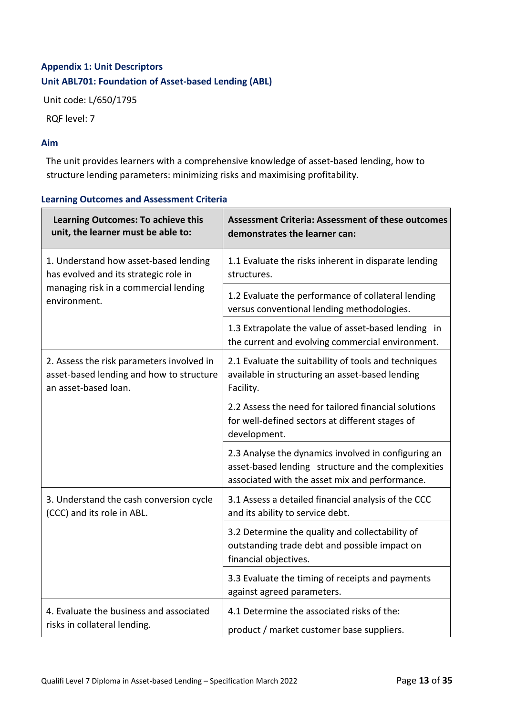# **Appendix 1: Unit Descriptors Unit ABL701: Foundation of Asset-based Lending (ABL)**

Unit code: L/650/1795

RQF level: 7

# **Aim**

The unit provides learners with a comprehensive knowledge of asset-based lending, how to structure lending parameters: minimizing risks and maximising profitability.

| Learning Outcomes: To achieve this<br>unit, the learner must be able to:                                      | <b>Assessment Criteria: Assessment of these outcomes</b><br>demonstrates the learner can:                                                                   |
|---------------------------------------------------------------------------------------------------------------|-------------------------------------------------------------------------------------------------------------------------------------------------------------|
| 1. Understand how asset-based lending<br>has evolved and its strategic role in                                | 1.1 Evaluate the risks inherent in disparate lending<br>structures.                                                                                         |
| managing risk in a commercial lending<br>environment.                                                         | 1.2 Evaluate the performance of collateral lending<br>versus conventional lending methodologies.                                                            |
|                                                                                                               | 1.3 Extrapolate the value of asset-based lending in<br>the current and evolving commercial environment.                                                     |
| 2. Assess the risk parameters involved in<br>asset-based lending and how to structure<br>an asset-based loan. | 2.1 Evaluate the suitability of tools and techniques<br>available in structuring an asset-based lending<br>Facility.                                        |
|                                                                                                               | 2.2 Assess the need for tailored financial solutions<br>for well-defined sectors at different stages of<br>development.                                     |
|                                                                                                               | 2.3 Analyse the dynamics involved in configuring an<br>asset-based lending structure and the complexities<br>associated with the asset mix and performance. |
| 3. Understand the cash conversion cycle<br>(CCC) and its role in ABL.                                         | 3.1 Assess a detailed financial analysis of the CCC<br>and its ability to service debt.                                                                     |
|                                                                                                               | 3.2 Determine the quality and collectability of<br>outstanding trade debt and possible impact on<br>financial objectives.                                   |
|                                                                                                               | 3.3 Evaluate the timing of receipts and payments<br>against agreed parameters.                                                                              |
| 4. Evaluate the business and associated<br>risks in collateral lending.                                       | 4.1 Determine the associated risks of the:<br>product / market customer base suppliers.                                                                     |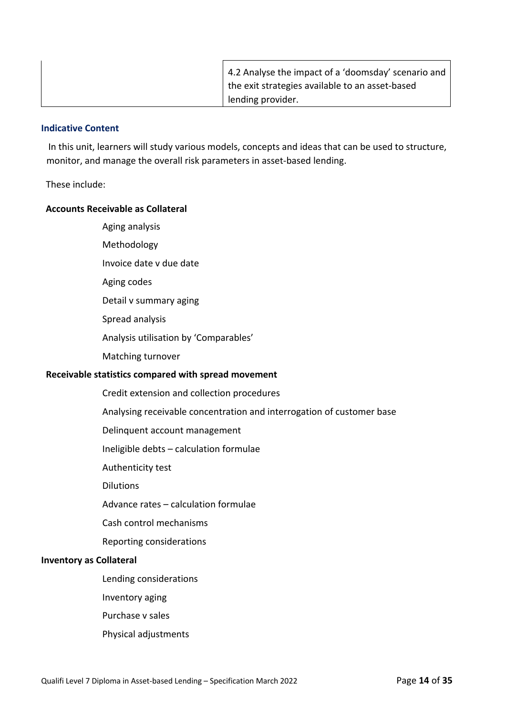| 4.2 Analyse the impact of a 'doomsday' scenario and |
|-----------------------------------------------------|
| the exit strategies available to an asset-based     |
| lending provider.                                   |

In this unit, learners will study various models, concepts and ideas that can be used to structure, monitor, and manage the overall risk parameters in asset-based lending.

#### These include:

#### **Accounts Receivable as Collateral**

- Aging analysis
- Methodology
- Invoice date v due date
- Aging codes
- Detail v summary aging
- Spread analysis
- Analysis utilisation by 'Comparables'
- Matching turnover

## **Receivable statistics compared with spread movement**

- Credit extension and collection procedures
- Analysing receivable concentration and interrogation of customer base
- Delinquent account management
- Ineligible debts calculation formulae
- Authenticity test
- Dilutions
- Advance rates calculation formulae
- Cash control mechanisms
- Reporting considerations

## **Inventory as Collateral**

- Lending considerations
- Inventory aging
- Purchase v sales
- Physical adjustments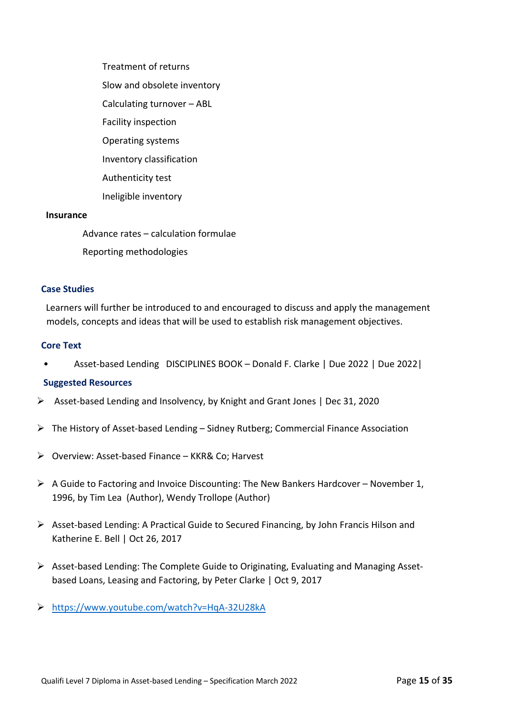Treatment of returns Slow and obsolete inventory Calculating turnover – ABL Facility inspection Operating systems Inventory classification Authenticity test Ineligible inventory

#### **Insurance**

Advance rates – calculation formulae Reporting methodologies

#### **Case Studies**

Learners will further be introduced to and encouraged to discuss and apply the management models, concepts and ideas that will be used to establish risk management objectives.

#### **Core Text**

• Asset-based Lending DISCIPLINES BOOK – Donald F. Clarke | Due 2022 | Due 2022|

#### **Suggested Resources**

- $\triangleright$  Asset-based Lending and Insolvency, by Knight and Grant Jones | Dec 31, 2020
- $\triangleright$  The History of Asset-based Lending Sidney Rutberg; Commercial Finance Association
- Ø Overview: Asset-based Finance KKR& Co; Harvest
- $\triangleright$  A Guide to Factoring and Invoice Discounting: The New Bankers Hardcover November 1, 1996, by Tim Lea (Author), Wendy Trollope (Author)
- Ø Asset-based Lending: A Practical Guide to Secured Financing, by John Francis Hilson and Katherine E. Bell | Oct 26, 2017
- $\triangleright$  Asset-based Lending: The Complete Guide to Originating, Evaluating and Managing Assetbased Loans, Leasing and Factoring, by Peter Clarke | Oct 9, 2017
- Ø https://www.youtube.com/watch?v=HqA-32U28kA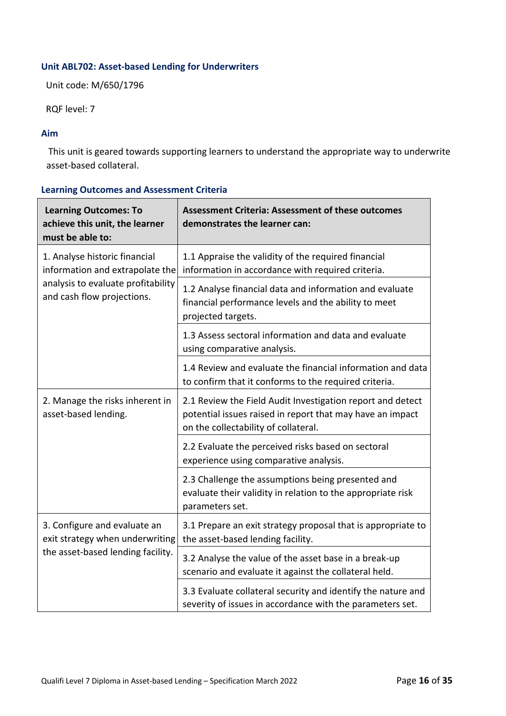# **Unit ABL702: Asset-based Lending for Underwriters**

Unit code: M/650/1796

RQF level: 7

## **Aim**

This unit is geared towards supporting learners to understand the appropriate way to underwrite asset-based collateral.

| <b>Learning Outcomes: To</b><br>achieve this unit, the learner<br>must be able to:                                                   | <b>Assessment Criteria: Assessment of these outcomes</b><br>demonstrates the learner can:                                                                       |
|--------------------------------------------------------------------------------------------------------------------------------------|-----------------------------------------------------------------------------------------------------------------------------------------------------------------|
| 1. Analyse historic financial<br>information and extrapolate the<br>analysis to evaluate profitability<br>and cash flow projections. | 1.1 Appraise the validity of the required financial<br>information in accordance with required criteria.                                                        |
|                                                                                                                                      | 1.2 Analyse financial data and information and evaluate<br>financial performance levels and the ability to meet<br>projected targets.                           |
|                                                                                                                                      | 1.3 Assess sectoral information and data and evaluate<br>using comparative analysis.                                                                            |
|                                                                                                                                      | 1.4 Review and evaluate the financial information and data<br>to confirm that it conforms to the required criteria.                                             |
| 2. Manage the risks inherent in<br>asset-based lending.                                                                              | 2.1 Review the Field Audit Investigation report and detect<br>potential issues raised in report that may have an impact<br>on the collectability of collateral. |
|                                                                                                                                      | 2.2 Evaluate the perceived risks based on sectoral<br>experience using comparative analysis.                                                                    |
|                                                                                                                                      | 2.3 Challenge the assumptions being presented and<br>evaluate their validity in relation to the appropriate risk<br>parameters set.                             |
| 3. Configure and evaluate an<br>exit strategy when underwriting<br>the asset-based lending facility.                                 | 3.1 Prepare an exit strategy proposal that is appropriate to<br>the asset-based lending facility.                                                               |
|                                                                                                                                      | 3.2 Analyse the value of the asset base in a break-up<br>scenario and evaluate it against the collateral held.                                                  |
|                                                                                                                                      | 3.3 Evaluate collateral security and identify the nature and<br>severity of issues in accordance with the parameters set.                                       |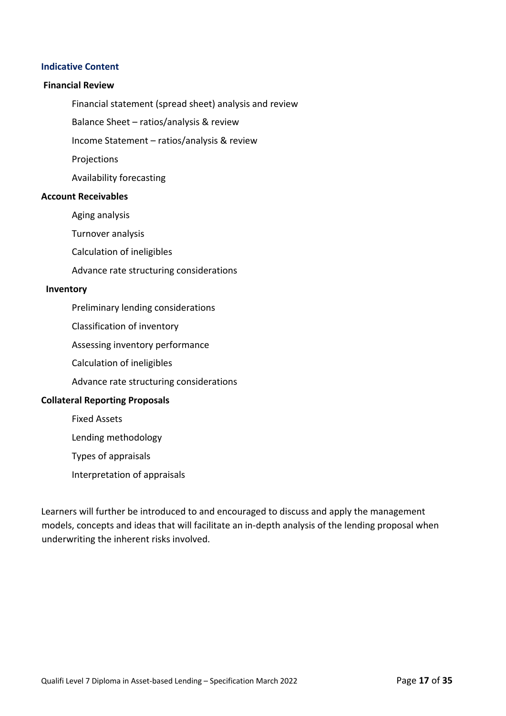#### **Financial Review**

Financial statement (spread sheet) analysis and review

Balance Sheet – ratios/analysis & review

Income Statement – ratios/analysis & review

Projections

Availability forecasting

#### **Account Receivables**

Aging analysis

Turnover analysis

Calculation of ineligibles

Advance rate structuring considerations

#### **Inventory**

Preliminary lending considerations

Classification of inventory

Assessing inventory performance

Calculation of ineligibles

Advance rate structuring considerations

#### **Collateral Reporting Proposals**

Fixed Assets

Lending methodology

Types of appraisals

Interpretation of appraisals

Learners will further be introduced to and encouraged to discuss and apply the management models, concepts and ideas that will facilitate an in-depth analysis of the lending proposal when underwriting the inherent risks involved.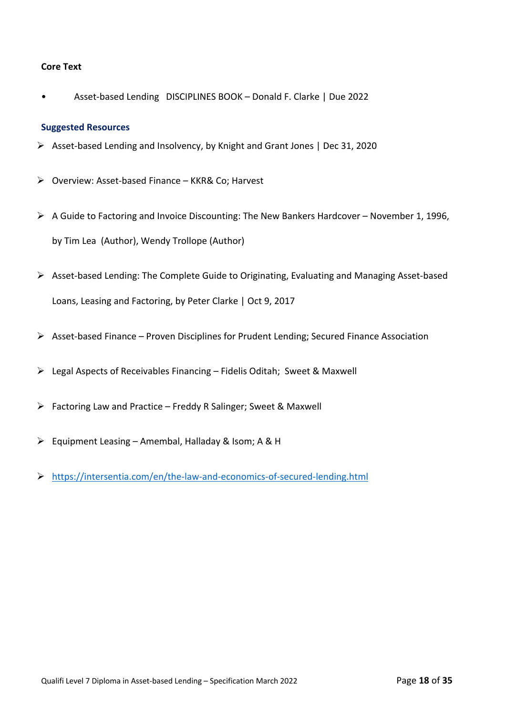## **Core Text**

• Asset-based Lending DISCIPLINES BOOK – Donald F. Clarke | Due 2022

#### **Suggested Resources**

- Ø Asset-based Lending and Insolvency, by Knight and Grant Jones | Dec 31, 2020
- Ø Overview: Asset-based Finance KKR& Co; Harvest
- $\triangleright$  A Guide to Factoring and Invoice Discounting: The New Bankers Hardcover November 1, 1996, by Tim Lea (Author), Wendy Trollope (Author)
- Ø Asset-based Lending: The Complete Guide to Originating, Evaluating and Managing Asset-based Loans, Leasing and Factoring, by Peter Clarke | Oct 9, 2017
- $\triangleright$  Asset-based Finance Proven Disciplines for Prudent Lending; Secured Finance Association
- $\triangleright$  Legal Aspects of Receivables Financing Fidelis Oditah; Sweet & Maxwell
- $\triangleright$  Factoring Law and Practice Freddy R Salinger; Sweet & Maxwell
- $\triangleright$  Equipment Leasing Amembal, Halladay & Isom; A & H
- Ø https://intersentia.com/en/the-law-and-economics-of-secured-lending.html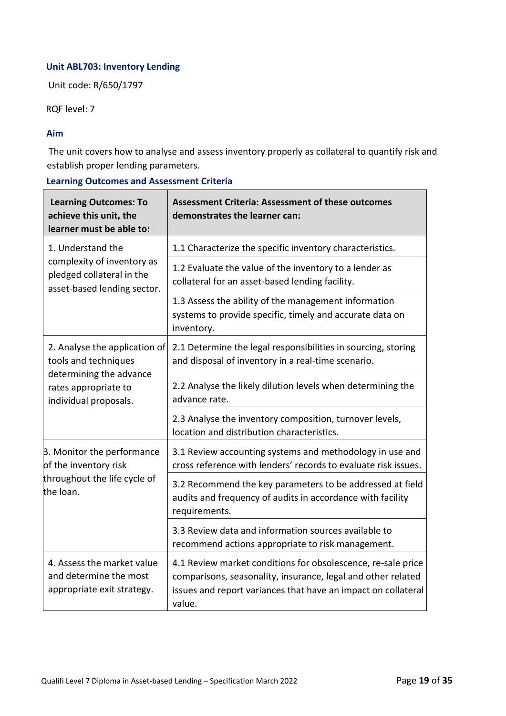# **Unit ABL703: Inventory Lending**

Unit code: R/650/1797

RQF level: 7

## **Aim**

The unit covers how to analyse and assess inventory properly as collateral to quantify risk and establish proper lending parameters.

| <b>Learning Outcomes: To</b><br>achieve this unit, the<br>learner must be able to:     | <b>Assessment Criteria: Assessment of these outcomes</b><br>demonstrates the learner can:                                                                                                               |
|----------------------------------------------------------------------------------------|---------------------------------------------------------------------------------------------------------------------------------------------------------------------------------------------------------|
| 1. Understand the                                                                      | 1.1 Characterize the specific inventory characteristics.                                                                                                                                                |
| complexity of inventory as<br>pledged collateral in the<br>asset-based lending sector. | 1.2 Evaluate the value of the inventory to a lender as<br>collateral for an asset-based lending facility.                                                                                               |
|                                                                                        | 1.3 Assess the ability of the management information<br>systems to provide specific, timely and accurate data on<br>inventory.                                                                          |
| 2. Analyse the application of<br>tools and techniques                                  | 2.1 Determine the legal responsibilities in sourcing, storing<br>and disposal of inventory in a real-time scenario.                                                                                     |
| determining the advance<br>rates appropriate to<br>individual proposals.               | 2.2 Analyse the likely dilution levels when determining the<br>advance rate.                                                                                                                            |
|                                                                                        | 2.3 Analyse the inventory composition, turnover levels,<br>location and distribution characteristics.                                                                                                   |
| 3. Monitor the performance<br>of the inventory risk                                    | 3.1 Review accounting systems and methodology in use and<br>cross reference with lenders' records to evaluate risk issues.                                                                              |
| throughout the life cycle of<br>the loan.                                              | 3.2 Recommend the key parameters to be addressed at field<br>audits and frequency of audits in accordance with facility<br>requirements.                                                                |
|                                                                                        | 3.3 Review data and information sources available to<br>recommend actions appropriate to risk management.                                                                                               |
| 4. Assess the market value<br>and determine the most<br>appropriate exit strategy.     | 4.1 Review market conditions for obsolescence, re-sale price<br>comparisons, seasonality, insurance, legal and other related<br>issues and report variances that have an impact on collateral<br>value. |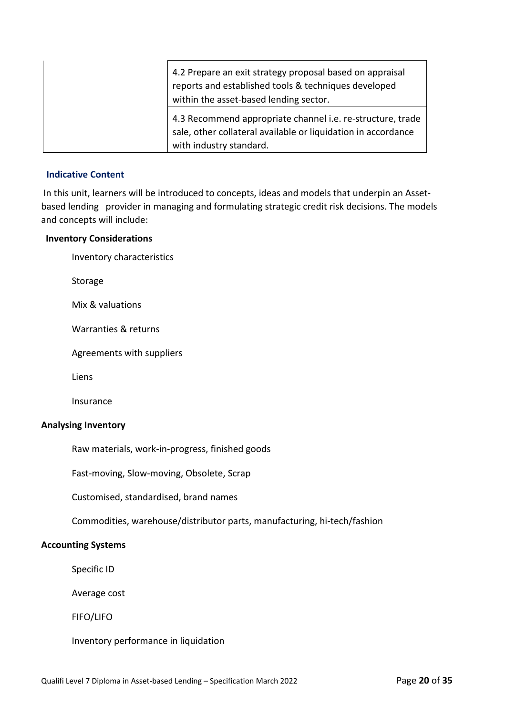| 4.2 Prepare an exit strategy proposal based on appraisal<br>reports and established tools & techniques developed<br>within the asset-based lending sector. |
|------------------------------------------------------------------------------------------------------------------------------------------------------------|
| 4.3 Recommend appropriate channel i.e. re-structure, trade<br>sale, other collateral available or liquidation in accordance<br>with industry standard.     |

In this unit, learners will be introduced to concepts, ideas and models that underpin an Assetbased lending provider in managing and formulating strategic credit risk decisions. The models and concepts will include:

#### **Inventory Considerations**

Inventory characteristics

Storage

Mix & valuations

Warranties & returns

Agreements with suppliers

Liens

Insurance

## **Analysing Inventory**

Raw materials, work-in-progress, finished goods

Fast-moving, Slow-moving, Obsolete, Scrap

Customised, standardised, brand names

Commodities, warehouse/distributor parts, manufacturing, hi-tech/fashion

## **Accounting Systems**

Specific ID

Average cost

FIFO/LIFO

Inventory performance in liquidation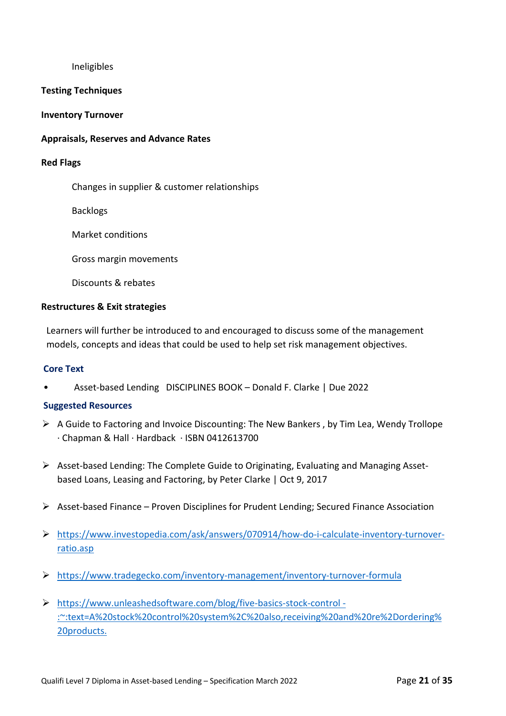Ineligibles

#### **Testing Techniques**

#### **Inventory Turnover**

#### **Appraisals, Reserves and Advance Rates**

#### **Red Flags**

Changes in supplier & customer relationships

Backlogs

Market conditions

Gross margin movements

Discounts & rebates

#### **Restructures & Exit strategies**

Learners will further be introduced to and encouraged to discuss some of the management models, concepts and ideas that could be used to help set risk management objectives.

#### **Core Text**

• Asset-based Lending DISCIPLINES BOOK – Donald F. Clarke | Due 2022

## **Suggested Resources**

- $\triangleright$  A Guide to Factoring and Invoice Discounting: The New Bankers, by Tim Lea, Wendy Trollope · Chapman & Hall · Hardback · ISBN 0412613700
- $\triangleright$  Asset-based Lending: The Complete Guide to Originating, Evaluating and Managing Assetbased Loans, Leasing and Factoring, by Peter Clarke | Oct 9, 2017
- Ø Asset-based Finance Proven Disciplines for Prudent Lending; Secured Finance Association
- Ø https://www.investopedia.com/ask/answers/070914/how-do-i-calculate-inventory-turnoverratio.asp
- Ø https://www.tradegecko.com/inventory-management/inventory-turnover-formula
- Ø https://www.unleashedsoftware.com/blog/five-basics-stock-control :~:text=A%20stock%20control%20system%2C%20also,receiving%20and%20re%2Dordering% 20products.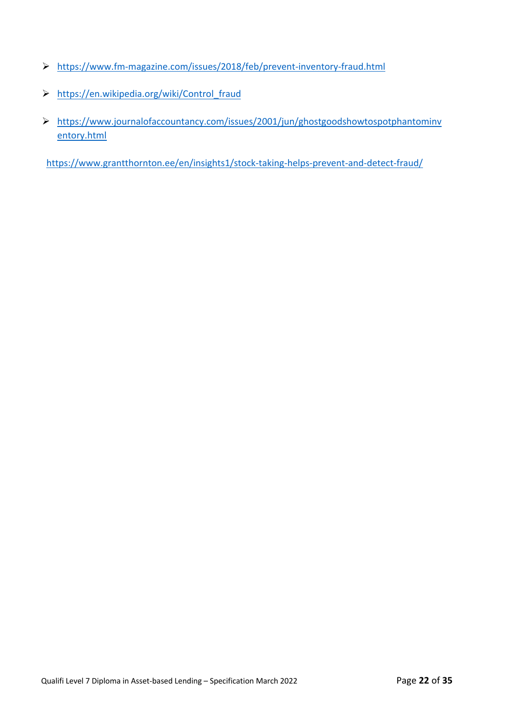- Ø https://www.fm-magazine.com/issues/2018/feb/prevent-inventory-fraud.html
- Ø https://en.wikipedia.org/wiki/Control\_fraud
- Ø https://www.journalofaccountancy.com/issues/2001/jun/ghostgoodshowtospotphantominv entory.html

https://www.grantthornton.ee/en/insights1/stock-taking-helps-prevent-and-detect-fraud/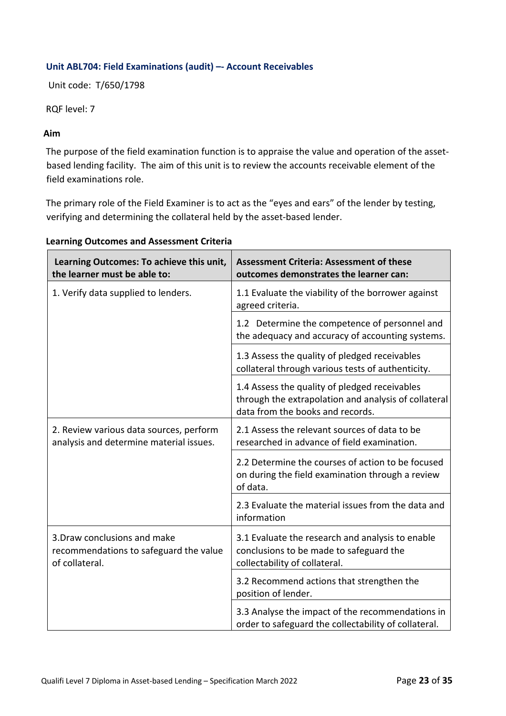# **Unit ABL704: Field Examinations (audit) –- Account Receivables**

Unit code: T/650/1798

RQF level: 7

## **Aim**

The purpose of the field examination function is to appraise the value and operation of the assetbased lending facility. The aim of this unit is to review the accounts receivable element of the field examinations role.

The primary role of the Field Examiner is to act as the "eyes and ears" of the lender by testing, verifying and determining the collateral held by the asset-based lender.

| Learning Outcomes: To achieve this unit,<br>the learner must be able to:                 | <b>Assessment Criteria: Assessment of these</b><br>outcomes demonstrates the learner can:                                                 |
|------------------------------------------------------------------------------------------|-------------------------------------------------------------------------------------------------------------------------------------------|
| 1. Verify data supplied to lenders.                                                      | 1.1 Evaluate the viability of the borrower against<br>agreed criteria.                                                                    |
|                                                                                          | 1.2 Determine the competence of personnel and<br>the adequacy and accuracy of accounting systems.                                         |
|                                                                                          | 1.3 Assess the quality of pledged receivables<br>collateral through various tests of authenticity.                                        |
|                                                                                          | 1.4 Assess the quality of pledged receivables<br>through the extrapolation and analysis of collateral<br>data from the books and records. |
| 2. Review various data sources, perform<br>analysis and determine material issues.       | 2.1 Assess the relevant sources of data to be<br>researched in advance of field examination.                                              |
|                                                                                          | 2.2 Determine the courses of action to be focused<br>on during the field examination through a review<br>of data.                         |
|                                                                                          | 2.3 Evaluate the material issues from the data and<br>information                                                                         |
| 3. Draw conclusions and make<br>recommendations to safeguard the value<br>of collateral. | 3.1 Evaluate the research and analysis to enable<br>conclusions to be made to safeguard the<br>collectability of collateral.              |
|                                                                                          | 3.2 Recommend actions that strengthen the<br>position of lender.                                                                          |
|                                                                                          | 3.3 Analyse the impact of the recommendations in<br>order to safeguard the collectability of collateral.                                  |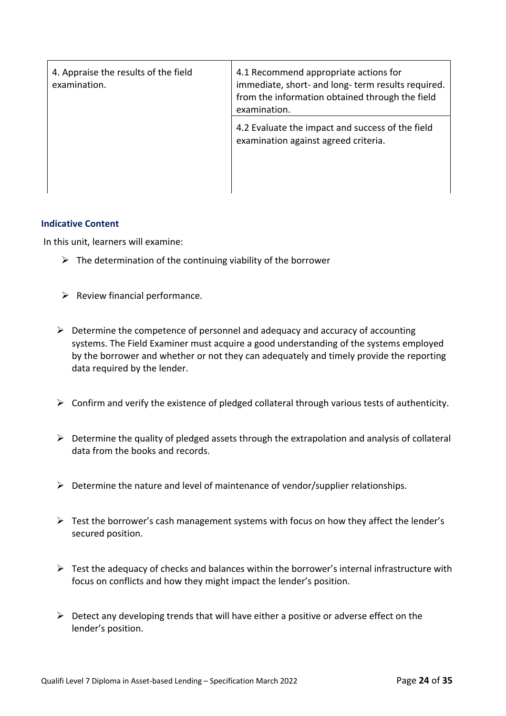| 4. Appraise the results of the field<br>examination. | 4.1 Recommend appropriate actions for<br>immediate, short- and long-term results required.<br>from the information obtained through the field<br>examination. |
|------------------------------------------------------|---------------------------------------------------------------------------------------------------------------------------------------------------------------|
|                                                      | 4.2 Evaluate the impact and success of the field<br>examination against agreed criteria.                                                                      |

In this unit, learners will examine:

- $\triangleright$  The determination of the continuing viability of the borrower
- $\triangleright$  Review financial performance.
- $\triangleright$  Determine the competence of personnel and adequacy and accuracy of accounting systems. The Field Examiner must acquire a good understanding of the systems employed by the borrower and whether or not they can adequately and timely provide the reporting data required by the lender.
- $\triangleright$  Confirm and verify the existence of pledged collateral through various tests of authenticity.
- $\triangleright$  Determine the quality of pledged assets through the extrapolation and analysis of collateral data from the books and records.
- $\triangleright$  Determine the nature and level of maintenance of vendor/supplier relationships.
- $\triangleright$  Test the borrower's cash management systems with focus on how they affect the lender's secured position.
- $\triangleright$  Test the adequacy of checks and balances within the borrower's internal infrastructure with focus on conflicts and how they might impact the lender's position.
- $\triangleright$  Detect any developing trends that will have either a positive or adverse effect on the lender's position.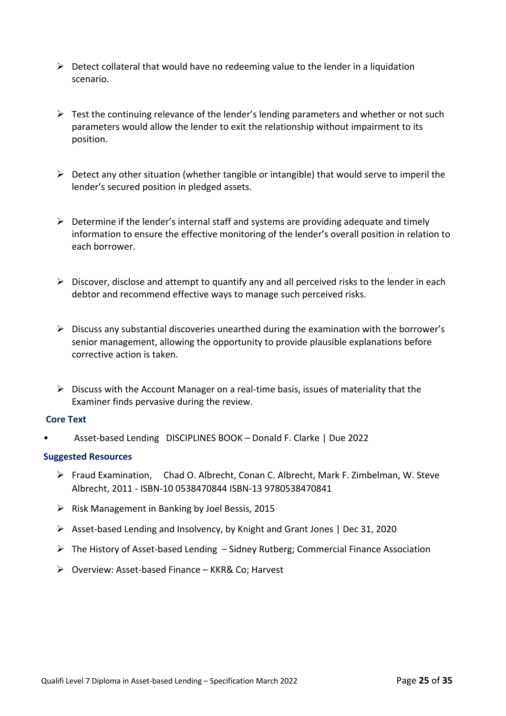- $\triangleright$  Detect collateral that would have no redeeming value to the lender in a liquidation scenario.
- $\triangleright$  Test the continuing relevance of the lender's lending parameters and whether or not such parameters would allow the lender to exit the relationship without impairment to its position.
- $\triangleright$  Detect any other situation (whether tangible or intangible) that would serve to imperil the lender's secured position in pledged assets.
- $\triangleright$  Determine if the lender's internal staff and systems are providing adequate and timely information to ensure the effective monitoring of the lender's overall position in relation to each borrower.
- $\triangleright$  Discover, disclose and attempt to quantify any and all perceived risks to the lender in each debtor and recommend effective ways to manage such perceived risks.
- $\triangleright$  Discuss any substantial discoveries unearthed during the examination with the borrower's senior management, allowing the opportunity to provide plausible explanations before corrective action is taken.
- $\triangleright$  Discuss with the Account Manager on a real-time basis, issues of materiality that the Examiner finds pervasive during the review.

## **Core Text**

• Asset-based Lending DISCIPLINES BOOK – Donald F. Clarke | Due 2022

## **Suggested Resources**

- Ø Fraud Examination, Chad O. Albrecht, Conan C. Albrecht, Mark F. Zimbelman, W. Steve Albrecht, 2011 - ISBN-10 0538470844 ISBN-13 9780538470841
- $\triangleright$  Risk Management in Banking by Joel Bessis, 2015
- $\triangleright$  Asset-based Lending and Insolvency, by Knight and Grant Jones | Dec 31, 2020
- $\triangleright$  The History of Asset-based Lending Sidney Rutberg; Commercial Finance Association
- $\triangleright$  Overview: Asset-based Finance KKR& Co; Harvest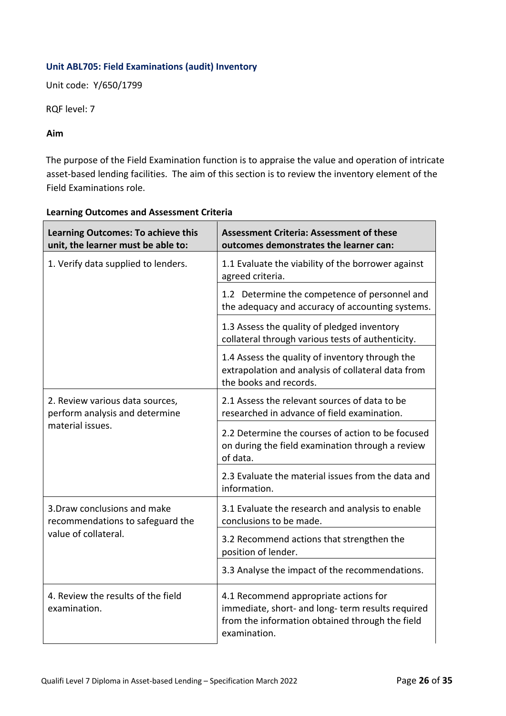# **Unit ABL705: Field Examinations (audit) Inventory**

Unit code: Y/650/1799

RQF level: 7

## **Aim**

The purpose of the Field Examination function is to appraise the value and operation of intricate asset-based lending facilities. The aim of this section is to review the inventory element of the Field Examinations role.

| <b>Learning Outcomes: To achieve this</b><br>unit, the learner must be able to: | <b>Assessment Criteria: Assessment of these</b><br>outcomes demonstrates the learner can:                                                                     |
|---------------------------------------------------------------------------------|---------------------------------------------------------------------------------------------------------------------------------------------------------------|
| 1. Verify data supplied to lenders.                                             | 1.1 Evaluate the viability of the borrower against<br>agreed criteria.                                                                                        |
|                                                                                 | 1.2 Determine the competence of personnel and<br>the adequacy and accuracy of accounting systems.                                                             |
|                                                                                 | 1.3 Assess the quality of pledged inventory<br>collateral through various tests of authenticity.                                                              |
|                                                                                 | 1.4 Assess the quality of inventory through the<br>extrapolation and analysis of collateral data from<br>the books and records.                               |
| 2. Review various data sources,<br>perform analysis and determine               | 2.1 Assess the relevant sources of data to be<br>researched in advance of field examination.                                                                  |
| material issues.                                                                | 2.2 Determine the courses of action to be focused<br>on during the field examination through a review<br>of data.                                             |
|                                                                                 | 2.3 Evaluate the material issues from the data and<br>information.                                                                                            |
| 3. Draw conclusions and make<br>recommendations to safeguard the                | 3.1 Evaluate the research and analysis to enable<br>conclusions to be made.                                                                                   |
| value of collateral.                                                            | 3.2 Recommend actions that strengthen the<br>position of lender.                                                                                              |
|                                                                                 | 3.3 Analyse the impact of the recommendations.                                                                                                                |
| 4. Review the results of the field<br>examination.                              | 4.1 Recommend appropriate actions for<br>immediate, short- and long- term results required<br>from the information obtained through the field<br>examination. |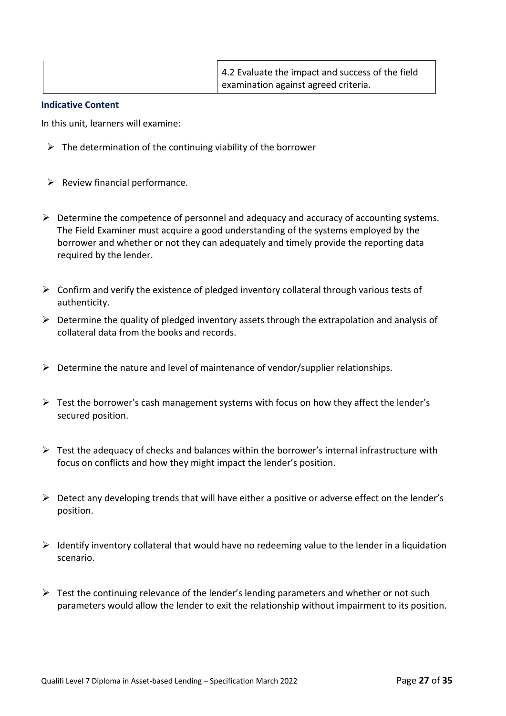In this unit, learners will examine:

- $\triangleright$  The determination of the continuing viability of the borrower
- $\triangleright$  Review financial performance.
- $\triangleright$  Determine the competence of personnel and adequacy and accuracy of accounting systems. The Field Examiner must acquire a good understanding of the systems employed by the borrower and whether or not they can adequately and timely provide the reporting data required by the lender.
- $\triangleright$  Confirm and verify the existence of pledged inventory collateral through various tests of authenticity.
- $\triangleright$  Determine the quality of pledged inventory assets through the extrapolation and analysis of collateral data from the books and records.
- $\triangleright$  Determine the nature and level of maintenance of vendor/supplier relationships.
- $\triangleright$  Test the borrower's cash management systems with focus on how they affect the lender's secured position.
- $\triangleright$  Test the adequacy of checks and balances within the borrower's internal infrastructure with focus on conflicts and how they might impact the lender's position.
- $\triangleright$  Detect any developing trends that will have either a positive or adverse effect on the lender's position.
- $\triangleright$  Identify inventory collateral that would have no redeeming value to the lender in a liquidation scenario.
- $\triangleright$  Test the continuing relevance of the lender's lending parameters and whether or not such parameters would allow the lender to exit the relationship without impairment to its position.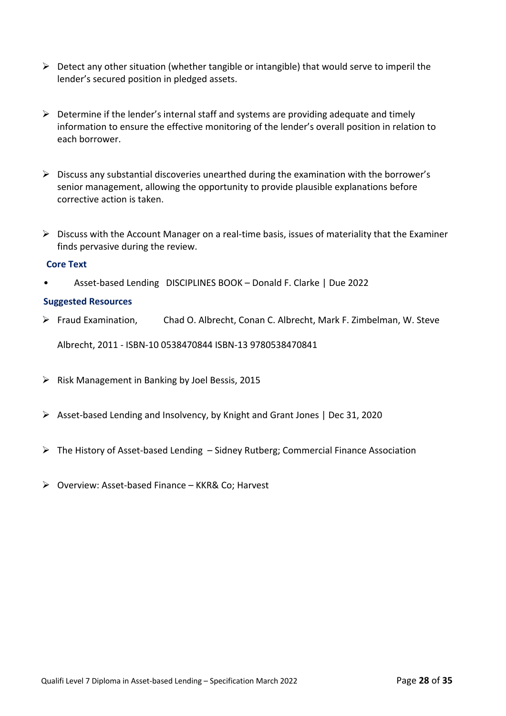- $\triangleright$  Detect any other situation (whether tangible or intangible) that would serve to imperil the lender's secured position in pledged assets.
- $\triangleright$  Determine if the lender's internal staff and systems are providing adequate and timely information to ensure the effective monitoring of the lender's overall position in relation to each borrower.
- $\triangleright$  Discuss any substantial discoveries unearthed during the examination with the borrower's senior management, allowing the opportunity to provide plausible explanations before corrective action is taken.
- $\triangleright$  Discuss with the Account Manager on a real-time basis, issues of materiality that the Examiner finds pervasive during the review.

## **Core Text**

• Asset-based Lending DISCIPLINES BOOK – Donald F. Clarke | Due 2022

#### **Suggested Resources**

Ø Fraud Examination, Chad O. Albrecht, Conan C. Albrecht, Mark F. Zimbelman, W. Steve

Albrecht, 2011 - ISBN-10 0538470844 ISBN-13 9780538470841

- $\triangleright$  Risk Management in Banking by Joel Bessis, 2015
- Ø Asset-based Lending and Insolvency, by Knight and Grant Jones | Dec 31, 2020
- $\triangleright$  The History of Asset-based Lending Sidney Rutberg; Commercial Finance Association
- Ø Overview: Asset-based Finance KKR& Co; Harvest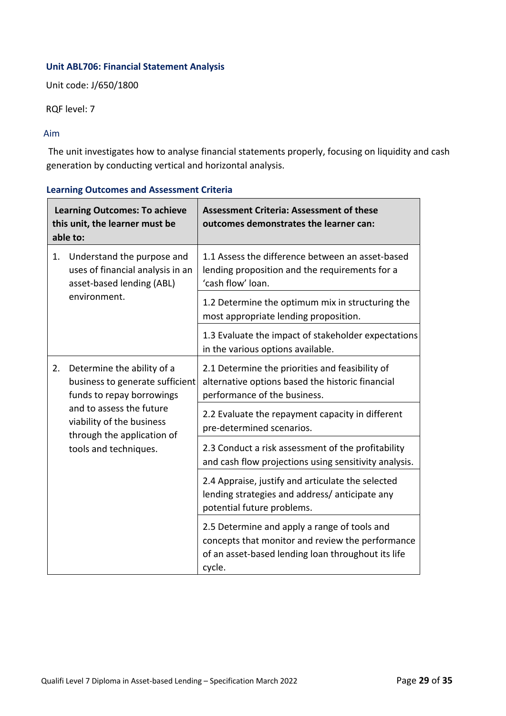# **Unit ABL706: Financial Statement Analysis**

Unit code: J/650/1800

RQF level: 7

#### Aim

The unit investigates how to analyse financial statements properly, focusing on liquidity and cash generation by conducting vertical and horizontal analysis.

| <b>Learning Outcomes: To achieve</b><br>this unit, the learner must be<br>able to:                                                                                                                               |                                                                                                                                     | <b>Assessment Criteria: Assessment of these</b><br>outcomes demonstrates the learner can:                                                                        |
|------------------------------------------------------------------------------------------------------------------------------------------------------------------------------------------------------------------|-------------------------------------------------------------------------------------------------------------------------------------|------------------------------------------------------------------------------------------------------------------------------------------------------------------|
| Understand the purpose and<br>1.<br>uses of financial analysis in an<br>asset-based lending (ABL)<br>environment.                                                                                                |                                                                                                                                     | 1.1 Assess the difference between an asset-based<br>lending proposition and the requirements for a<br>'cash flow' loan.                                          |
|                                                                                                                                                                                                                  | 1.2 Determine the optimum mix in structuring the<br>most appropriate lending proposition.                                           |                                                                                                                                                                  |
|                                                                                                                                                                                                                  | 1.3 Evaluate the impact of stakeholder expectations<br>in the various options available.                                            |                                                                                                                                                                  |
| Determine the ability of a<br>2.<br>business to generate sufficient<br>funds to repay borrowings<br>and to assess the future<br>viability of the business<br>through the application of<br>tools and techniques. | 2.1 Determine the priorities and feasibility of<br>alternative options based the historic financial<br>performance of the business. |                                                                                                                                                                  |
|                                                                                                                                                                                                                  | 2.2 Evaluate the repayment capacity in different<br>pre-determined scenarios.                                                       |                                                                                                                                                                  |
|                                                                                                                                                                                                                  | 2.3 Conduct a risk assessment of the profitability<br>and cash flow projections using sensitivity analysis.                         |                                                                                                                                                                  |
|                                                                                                                                                                                                                  | 2.4 Appraise, justify and articulate the selected<br>lending strategies and address/anticipate any<br>potential future problems.    |                                                                                                                                                                  |
|                                                                                                                                                                                                                  |                                                                                                                                     | 2.5 Determine and apply a range of tools and<br>concepts that monitor and review the performance<br>of an asset-based lending loan throughout its life<br>cycle. |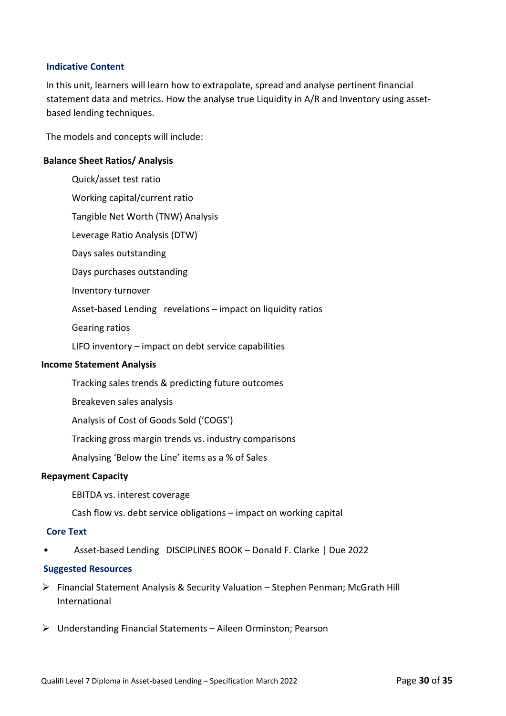In this unit, learners will learn how to extrapolate, spread and analyse pertinent financial statement data and metrics. How the analyse true Liquidity in A/R and Inventory using assetbased lending techniques.

The models and concepts will include:

#### **Balance Sheet Ratios/ Analysis**

Quick/asset test ratio Working capital/current ratio Tangible Net Worth (TNW) Analysis Leverage Ratio Analysis (DTW) Days sales outstanding Days purchases outstanding Inventory turnover Asset-based Lending revelations – impact on liquidity ratios Gearing ratios LIFO inventory – impact on debt service capabilities

#### **Income Statement Analysis**

Tracking sales trends & predicting future outcomes

Breakeven sales analysis

Analysis of Cost of Goods Sold ('COGS')

Tracking gross margin trends vs. industry comparisons

Analysing 'Below the Line' items as a % of Sales

#### **Repayment Capacity**

EBITDA vs. interest coverage

Cash flow vs. debt service obligations – impact on working capital

#### **Core Text**

• Asset-based Lending DISCIPLINES BOOK – Donald F. Clarke | Due 2022

#### **Suggested Resources**

- $\triangleright$  Financial Statement Analysis & Security Valuation Stephen Penman; McGrath Hill International
- Ø Understanding Financial Statements Aileen Orminston; Pearson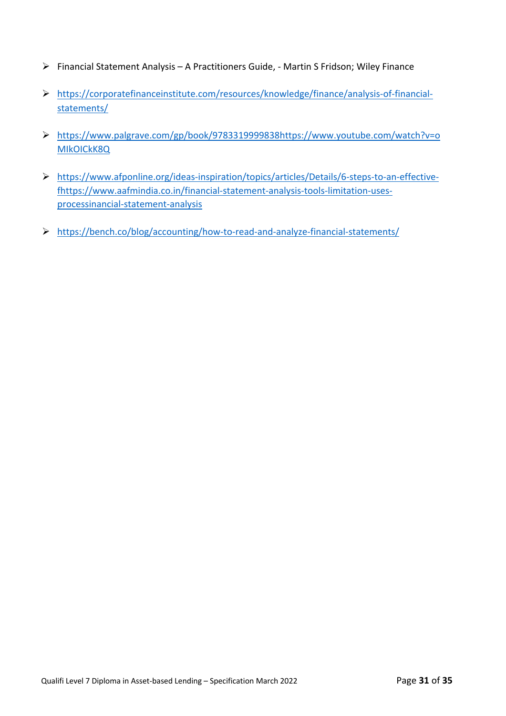- Ø Financial Statement Analysis A Practitioners Guide, Martin S Fridson; Wiley Finance
- Ø https://corporatefinanceinstitute.com/resources/knowledge/finance/analysis-of-financialstatements/
- Ø https://www.palgrave.com/gp/book/9783319999838https://www.youtube.com/watch?v=o MIkOICkK8Q
- Ø https://www.afponline.org/ideas-inspiration/topics/articles/Details/6-steps-to-an-effectivefhttps://www.aafmindia.co.in/financial-statement-analysis-tools-limitation-usesprocessinancial-statement-analysis
- Ø https://bench.co/blog/accounting/how-to-read-and-analyze-financial-statements/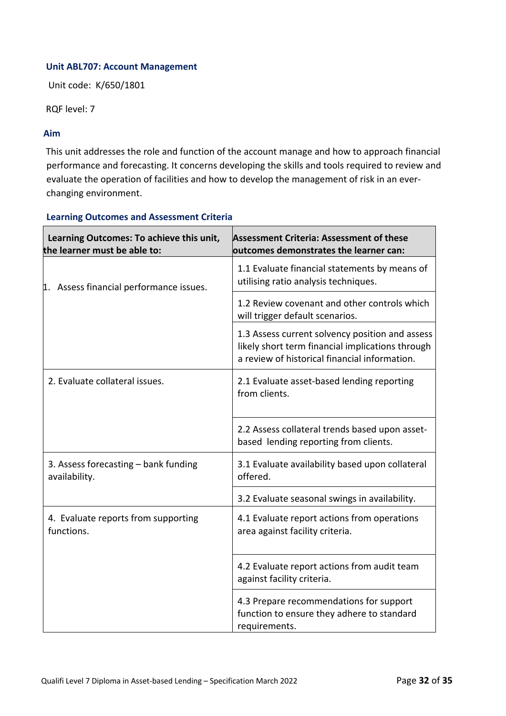## **Unit ABL707: Account Management**

Unit code: K/650/1801

RQF level: 7

#### **Aim**

This unit addresses the role and function of the account manage and how to approach financial performance and forecasting. It concerns developing the skills and tools required to review and evaluate the operation of facilities and how to develop the management of risk in an everchanging environment.

| Learning Outcomes: To achieve this unit,<br>the learner must be able to: | <b>Assessment Criteria: Assessment of these</b><br>outcomes demonstrates the learner can:                                                            |
|--------------------------------------------------------------------------|------------------------------------------------------------------------------------------------------------------------------------------------------|
| 1. Assess financial performance issues.                                  | 1.1 Evaluate financial statements by means of<br>utilising ratio analysis techniques.                                                                |
|                                                                          | 1.2 Review covenant and other controls which<br>will trigger default scenarios.                                                                      |
|                                                                          | 1.3 Assess current solvency position and assess<br>likely short term financial implications through<br>a review of historical financial information. |
| 2. Evaluate collateral issues.                                           | 2.1 Evaluate asset-based lending reporting<br>from clients.                                                                                          |
|                                                                          | 2.2 Assess collateral trends based upon asset-<br>based lending reporting from clients.                                                              |
| 3. Assess forecasting - bank funding<br>availability.                    | 3.1 Evaluate availability based upon collateral<br>offered.                                                                                          |
|                                                                          | 3.2 Evaluate seasonal swings in availability.                                                                                                        |
| 4. Evaluate reports from supporting<br>functions.                        | 4.1 Evaluate report actions from operations<br>area against facility criteria.                                                                       |
|                                                                          | 4.2 Evaluate report actions from audit team<br>against facility criteria.                                                                            |
|                                                                          | 4.3 Prepare recommendations for support<br>function to ensure they adhere to standard<br>requirements.                                               |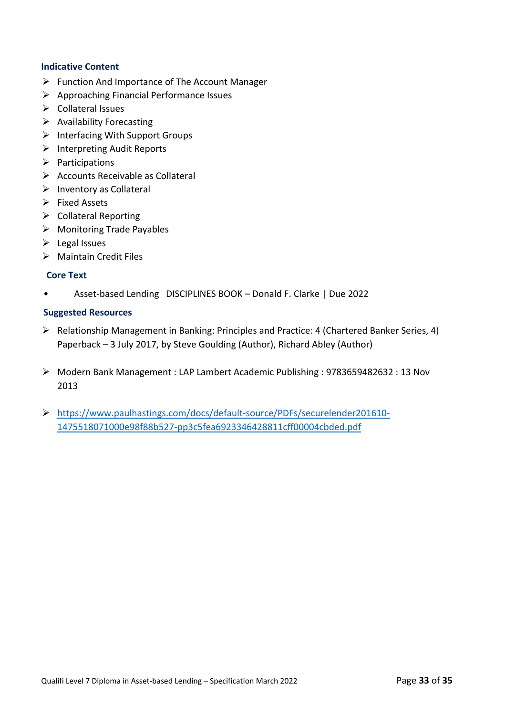- $\triangleright$  Function And Importance of The Account Manager
- $\triangleright$  Approaching Financial Performance Issues
- $\triangleright$  Collateral Issues
- $\triangleright$  Availability Forecasting
- $\triangleright$  Interfacing With Support Groups
- $\triangleright$  Interpreting Audit Reports
- $\triangleright$  Participations
- $\triangleright$  Accounts Receivable as Collateral
- $\triangleright$  Inventory as Collateral
- $\triangleright$  Fixed Assets
- $\triangleright$  Collateral Reporting
- $\triangleright$  Monitoring Trade Payables
- $\triangleright$  Legal Issues
- $\triangleright$  Maintain Credit Files

## **Core Text**

• Asset-based Lending DISCIPLINES BOOK – Donald F. Clarke | Due 2022

#### **Suggested Resources**

- Ø Relationship Management in Banking: Principles and Practice: 4 (Chartered Banker Series, 4) Paperback – 3 July 2017, by Steve Goulding (Author), Richard Abley (Author)
- Ø Modern Bank Management : LAP Lambert Academic Publishing : 9783659482632 : 13 Nov 2013
- Ø https://www.paulhastings.com/docs/default-source/PDFs/securelender201610- 1475518071000e98f88b527-pp3c5fea6923346428811cff00004cbded.pdf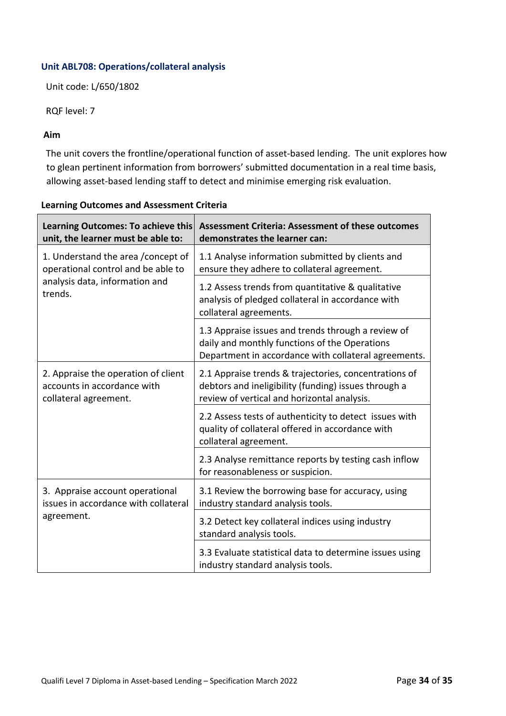# **Unit ABL708: Operations/collateral analysis**

Unit code: L/650/1802

RQF level: 7

## **Aim**

The unit covers the frontline/operational function of asset-based lending. The unit explores how to glean pertinent information from borrowers' submitted documentation in a real time basis, allowing asset-based lending staff to detect and minimise emerging risk evaluation.

#### **Learning Outcomes: To achieve this unit, the learner must be able to: Assessment Criteria: Assessment of these outcomes demonstrates the learner can:** 1. Understand the area /concept of operational control and be able to analysis data, information and trends. 1.1 Analyse information submitted by clients and ensure they adhere to collateral agreement. 1.2 Assess trends from quantitative & qualitative analysis of pledged collateral in accordance with collateral agreements. 1.3 Appraise issues and trends through a review of daily and monthly functions of the Operations Department in accordance with collateral agreements. 2. Appraise the operation of client accounts in accordance with collateral agreement. 2.1 Appraise trends & trajectories, concentrations of debtors and ineligibility (funding) issues through a review of vertical and horizontal analysis. 2.2 Assess tests of authenticity to detect issues with quality of collateral offered in accordance with collateral agreement. 2.3 Analyse remittance reports by testing cash inflow for reasonableness or suspicion. 3. Appraise account operational issues in accordance with collateral agreement. 3.1 Review the borrowing base for accuracy, using industry standard analysis tools. 3.2 Detect key collateral indices using industry standard analysis tools. 3.3 Evaluate statistical data to determine issues using industry standard analysis tools.